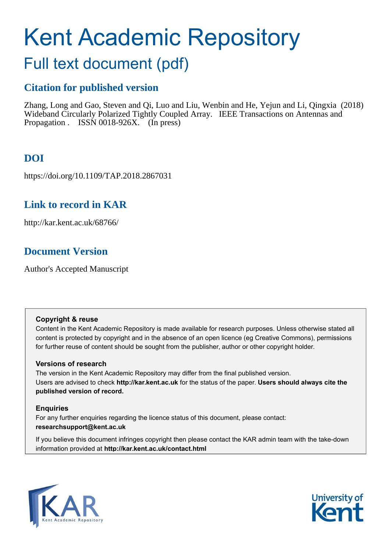# Kent Academic Repository

## Full text document (pdf)

## **Citation for published version**

Zhang, Long and Gao, Steven and Qi, Luo and Liu, Wenbin and He, Yejun and Li, Qingxia (2018) Wideband Circularly Polarized Tightly Coupled Array. IEEE Transactions on Antennas and Propagation . ISSN 0018-926X. (In press)

## **DOI**

https://doi.org/10.1109/TAP.2018.2867031

## **Link to record in KAR**

http://kar.kent.ac.uk/68766/

## **Document Version**

Author's Accepted Manuscript

## **Copyright & reuse**

Content in the Kent Academic Repository is made available for research purposes. Unless otherwise stated all content is protected by copyright and in the absence of an open licence (eg Creative Commons), permissions for further reuse of content should be sought from the publisher, author or other copyright holder.

## **Versions of research**

The version in the Kent Academic Repository may differ from the final published version. Users are advised to check **http://kar.kent.ac.uk** for the status of the paper. **Users should always cite the published version of record.**

## **Enquiries**

For any further enquiries regarding the licence status of this document, please contact: **researchsupport@kent.ac.uk**

If you believe this document infringes copyright then please contact the KAR admin team with the take-down information provided at **http://kar.kent.ac.uk/contact.html**



<span id="page-0-0"></span>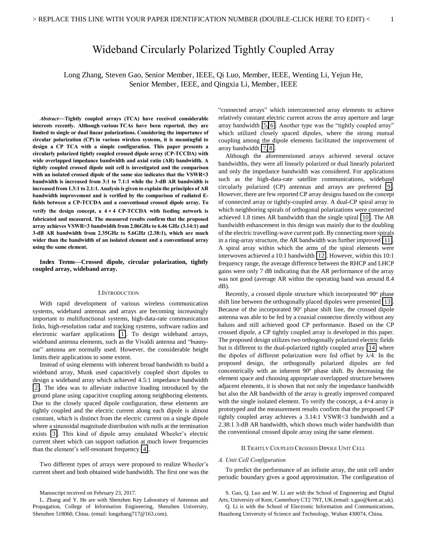## Wideband Circularly Polarized Tightly Coupled Array

Long Zhang, Steven Gao, Senior Member, IEEE, Qi Luo, Member, IEEE, Wenting Li, Yejun He, Senior Member, IEEE, and Qingxia Li, Member, IEEE

*Abstract***—Tightly coupled arrays (TCA) have received considerable interests recently. Although various TCAs have been reported, they are limited to single or dual linear polarizations. Considering the importance of circular polarization (CP) in various wireless systems, it is meaningful to design a CP TCA with a simple configuration. This paper presents a circularly polarized tightly coupled crossed dipole array (CP-TCCDA) with wide overlapped impedance bandwidth and axial ratio (AR) bandwidth. A tightly coupled crossed dipole unit cell is investigated and the comparison with an isolated crossed dipole of the same size indicates that the VSWR<3 bandwidth is increased from 3:1 to 7.1:1 while the 3-dB AR bandwidth is increased from 1.3:1 to 2.1:1. Analysis is given to explain the principles of AR bandwidth improvement and is verified by the comparison of radiated Efields between a CP-TCCDA and a conventional crossed dipole array. To verify the design concept, a**  $4 \times 4$  **CP-TCCDA with feeding network is fabricated and measured. The measured results confirm that the proposed array achieves VSWR<3 bandwidth from 2.06GHz to 6.46 GHz (3.14:1) and 3-dB AR bandwidth from 2.35GHz to 5.6GHz (2.38:1), which are much wider than the bandwidth of an isolated element and a conventional array using the same element.** 

<span id="page-1-0"></span>**Index Terms—Crossed dipole, circular polarization, tightly coupled array, wideband array.** 

#### I.INTRODUCTION

<span id="page-1-1"></span>With rapid development of various wireless communication systems, wideband antennas and arrays are becoming increasingly important to multifunctional systems, high-data-rate communication links, high-resolution radar and tracking systems, software radios and electronic warfare applications [\[1\]](#page-4-0). To design wideband arrays, wideband antenna elements, such as the Vivaldi antenna and "bunnyear" antenna are normally used. However, the considerable height limits their applications to some extent.

Instead of using elements with inherent broad bandwidth to build a wideband array, Munk used capacitively coupled short dipoles to design a wideband array which achieved 4.5:1 impedance bandwidth [\[2\]](#page-4-1). The idea was to alleviate inductive loading introduced by the ground plane using capacitive coupling among neighboring elements. Due to the closely spaced dipole configuration, these elements are tightly coupled and the electric current along each dipole is almost constant, which is distinct from the electric current on a single dipole where a sinusoidal magnitude distribution with nulls at the termination exists [\[3\]](#page-4-2). This kind of dipole array emulated Wheeler's electric current sheet which can support radiation at much lower frequencies than the element's self-resonant frequency [\[4\]](#page-4-3).

Two different types of arrays were proposed to realize Wheeler's current sheet and both obtained wide bandwidth. The first one was the

L. Zhang and Y. He are with Shenzhen Key Laboratory of Antennas and Propagation, College of Information Engineering, Shenzhen University, Shenzhen 518060, China. (email: longzhang717@163.com).

"connected arrays" which interconnected array elements to achieve relatively constant electric current across the array aperture and large array bandwidth [\[5,](#page-4-4) [6\]](#page-4-5). Another type was the "tightly coupled array" which utilized closely spaced dipoles, where the strong mutual coupling among the dipole elements facilitated the improvement of array bandwidth [\[7,](#page-4-6) [8\]](#page-4-7).

<span id="page-1-2"></span>Although the aforementioned arrays achieved several octave bandwidths, they were all linearly polarized or dual linearly polarized and only the impedance bandwidth was considered. For applications such as the high-data-rate satellite communications, wideband circularly polarized (CP) antennas and arrays are preferred [\[9\]](#page-4-8). However, there are few reported CP array designs based on the concept of connected array or tightly-coupled array. A dual-CP spiral array in which neighboring spirals of orthogonal polarizations were connected achieved 1.8 times AR bandwidth than the single spiral [\[10\]](#page-5-0). The AR bandwidth enhancement in this design was mainly due to the doubling of the electric travelling-wave current path. By connecting more spirals in a ring-array structure, the AR bandwidth was further improved [\[11\]](#page-5-1). A spiral array within which the arms of the spiral elements were interwoven achieved a 10:1 bandwidth [\[12\]](#page-5-2). However, within this 10:1 frequency range, the average difference between the RHCP and LHCP gains were only 7 dB indicating that the AR performance of the array was not good (average AR within the operating band was around 8.4 dB).

Recently, a crossed dipole structure which incorporated 90° phase shift line between the orthogonally placed dipoles were presented [\[13\]](#page-5-3). Because of the incorporated 90° phase shift line, the crossed dipole antenna was able to be fed by a coaxial connector directly without any baluns and still achieved good CP performance. Based on the CP crossed dipole, a CP tightly coupled array is developed in this paper. The proposed design utilizes two orthogonally polarized electric fields but is different to the dual-polarized tightly coupled array [\[14\]](#page-5-4) where the dipoles of different polarization were fed offset by  $\lambda/4$ . In the proposed design, the orthogonally polarized dipoles are fed concentrically with an inherent 90° phase shift. By decreasing the element space and choosing appropriate overlapped structure between adjacent elements, it is shown that not only the impedance bandwidth but also the AR bandwidth of the array is greatly improved compared with the single isolated element. To verify the concept, a  $4\times4$  array is prototyped and the measurement results confirm that the proposed CP tightly coupled array achieves a 3.14:1 VSWR<3 bandwidth and a 2.38:1 3-dB AR bandwidth, which shows much wider bandwidth than the conventional crossed dipole array using the same element.

#### II.TIGHTLY COUPLED CROSSED DIPOLE UNIT CELL

#### *A. Unit Cell Configuration*

To predict the performance of an infinite array, the unit cell under periodic boundary gives a good approximation. The configuration of

S. Gao, Q. Luo and W. Li are with the School of Engineering and Digital Arts, University of Kent, Canterbury CT2 7NT, UK.(email: s.gao@kent.ac.uk). Q. Li is with the School of Electronic Information and Communications,

Huazhong University of Science and Technology, Wuhan 430074, China.

Manuscript received on February 23, 2017.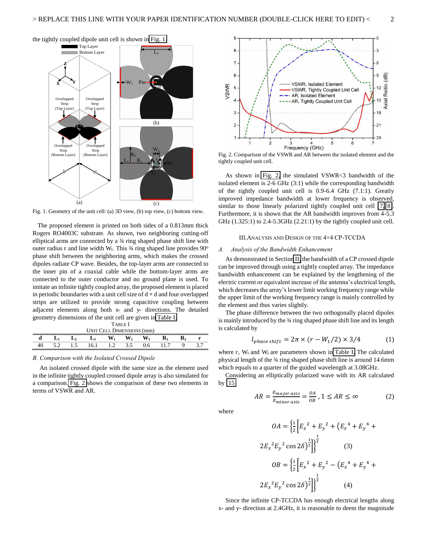

Fig. 1. Geometry of the unit cell: (a) 3D view, (b) top view, (c) bottom view.

The proposed element is printed on both sides of a 0.813mm thick Rogers RO4003C substrate. As shown, two neighboring cutting-off elliptical arms are connected by a ¾ ring shaped phase shift line with outer radius r and line width W<sub>1</sub>. This  $\frac{3}{4}$  ring shaped line provides 90<sup>o</sup> phase shift between the neighboring arms, which makes the crossed dipoles radiate CP wave. Besides, the top-layer arms are connected to the inner pin of a coaxial cable while the bottom-layer arms are connected to the outer conductor and no ground plane is used. To imitate an infinite tightly coupled array, the proposed element is placed in periodic boundaries with a unit cell size of  $d \times d$  and four overlapped strips are utilized to provide strong capacitive coupling between adjacent elements along both x- and y- directions. The detailed geometry dimensions of the unit cell are given i[n Table I.](#page-1-1)

| <b>TABLE</b> I                   |  |    |    |       |                |                |  |  |  |
|----------------------------------|--|----|----|-------|----------------|----------------|--|--|--|
| <b>UNIT CELL DIMENSIONS (mm)</b> |  |    |    |       |                |                |  |  |  |
|                                  |  | L٠ | L٦ | $W_1$ | W <sub>2</sub> | W <sub>3</sub> |  |  |  |
|                                  |  |    |    |       |                |                |  |  |  |

#### *B. Comparison with the Isolated Crossed Dipole*

An isolated crossed dipole with the same size as the element used in the infinite tightly coupled crossed dipole array is also simulated for a comparison. [Fig. 2](#page-1-2) shows the comparison of these two elements in terms of VSWR and AR.



Fig. 2. Comparison of the VSWR and AR between the isolated element and the tightly coupled unit cell.

<span id="page-2-0"></span>As shown in [Fig. 2,](#page-1-2) the simulated VSWR<3 bandwidth of the isolated element is 2-6 GHz (3:1) while the corresponding bandwidth of the tightly coupled unit cell is 0.9-6.4 GHz (7.1:1). Greatly improved impedance bandwidth at lower frequency is observed, similar to those linearly polarized tightly coupled unit cell [\[7,](#page-4-6) [8\]](#page-4-7). Furthermore, it is shown that the AR bandwidth improves from 4-5.3 GHz (1.325:1) to 2.4-5.3GHz (2.21:1) by the tightly coupled unit cell.

#### III.ANALYSIS AND DESIGN OF THE 4×4 CP-TCCDA

#### *A. Analysis of the Bandwidth Enhancement*

As demonstrated in Sectio[n II,](#page-0-0) the bandwidth of a CP crossed dipole can be improved through using a tightly coupled array. The impedance bandwidth enhancement can be explained by the lengthening of the electric current or equivalent increase of the antenna's electrical length, which decreases the array's lower limit working frequency range while the upper limit of the working frequency range is mainly controlled by the element and thus varies slightly.

<span id="page-2-1"></span>The phase difference between the two orthogonally placed dipoles is mainly introduced by the  $\frac{3}{4}$  ring shaped phase shift line and its length is calculated by

$$
l_{phase\,shift} = 2\pi \times (r - W_1/2) \times 3/4 \tag{1}
$$

where  $r$ ,  $W_1$  and  $W_2$  are parameters shown in [Table I.](#page-1-1) The calculated physical length of the ¾ ring shaped phase shift line is around 14.6mm which equals to a quarter of the guided wavelength at 3.08GHz.

Considering an elliptically polarized wave with its AR calculated by [\[15\]](#page-5-5)

$$
AR = \frac{E_{major \, axis}}{E_{minor \, axis}} = \frac{OA}{OB}, \, 1 \le AR \le \infty \tag{2}
$$

<span id="page-2-2"></span>where

$$
OA = \left\{ \frac{1}{2} \left[ E_x^2 + E_y^2 + \left( E_x^4 + E_y^4 + E_y^4 \right) \right] \right\}^{\frac{1}{2}}
$$
  
\n
$$
2E_x^2 E_y^2 \cos 2\delta \right\}^{\frac{1}{2}} \right\}^{\frac{1}{2}}
$$
  
\n
$$
OB = \left\{ \frac{1}{2} \left[ E_x^2 + E_y^2 - \left( E_x^4 + E_y^4 + E_y^4 \right) \right] \right\}^{\frac{1}{2}}
$$
  
\n
$$
2E_x^2 E_y^2 \cos 2\delta \right\}^{\frac{1}{2}} \right\}^{\frac{1}{2}}
$$
  
\n(4)

Since the infinite CP-TCCDA has enough electrical lengths along x- and y- direction at 2.4GHz, it is reasonable to deem the magnitude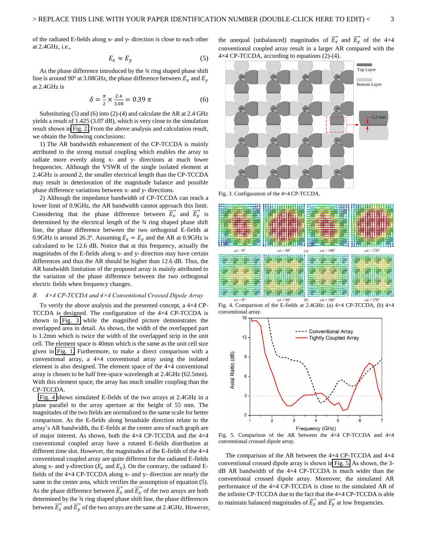$$
E_x \approx E_y \tag{5}
$$

As the phase difference introduced by the 3⁄4 ring shaped phase shift line is around 90° at 3.08GHz, the phase difference between  $E_x$  and  $E_y$ at 2.4GHz is

$$
\delta = \frac{\pi}{2} \times \frac{2.4}{3.08} = 0.39 \pi \tag{6}
$$

Substituting (5) and (6) into (2)-(4) and calculate the AR at 2.4 GHz yields a result of 1.425 (3.07 dB), which is very close to the simulation result shown in [Fig. 2.](#page-1-2) From the above analysis and calculation result, we obtain the following conclusions:

1) The AR bandwidth enhancement of the CP-TCCDA is mainly attributed to the strong mutual coupling which enables the array to radiate more evenly along x- and y- directions at much lower frequencies. Although the VSWR of the single isolated element at 2.4GHz is around 2, the smaller electrical length than the CP-TCCDA may result in deterioration of the magnitude balance and possible phase difference variations between x- and y- directions.

<span id="page-3-0"></span>2) Although the impedance bandwidth of CP-TCCDA can reach a lower limit of 0.9GHz, the AR bandwidth cannot approach this limit. Considering that the phase difference between  $E_x$  and  $E_y$  is determined by the electrical length of the ¾ ring shaped phase shift line, the phase difference between the two orthogonal E-fields at 0.9GHz is around 26.3°. Assuming  $E_x = E_y$  and the AR at 0.9GHz is calculated to be 12.6 dB. Notice that at this frequency, actually the magnitudes of the E-fields along x- and y- direction may have certain differences and thus the AR should be higher than 12.6 dB. Thus, the AR bandwidth limitation of the proposed array is mainly attributed to the variation of the phase difference between the two orthogonal electric fields when frequency changes.

#### *B. 4×4 CP-TCCDA and 4×4 Conventional Crossed Dipole Array*

<span id="page-3-1"></span>To verify the above analysis and the presented concept, a 4×4 CP-TCCDA is designed. The configuration of the 4×4 CP-TCCDA is shown in [Fig. 3](#page-2-0) while the magnified picture demonstrates the overlapped area in detail. As shown, the width of the overlapped part is 1.2mm which is twice the width of the overlapped strip in the unit cell. The element space is 40mm which is the same as the unit cell size given in [Fig. 1.](#page-1-0) Furthermore, to make a direct comparison with a conventional array, a 4×4 conventional array using the isolated element is also designed. The element space of the 4×4 conventional array is chosen to be half free-space wavelength at 2.4GHz (62.5mm). With this element space, the array has much smaller coupling than the CP-TCCDA.

[Fig. 4](#page-2-1) shows simulated E-fields of the two arrays at 2.4GHz in a plane parallel to the array aperture at the height of 55 mm. The magnitudes of the two fields are normalized to the same scale for better comparison. As the E-fields along broadside direction relate to the array's AR bandwidth, the E-fields at the center area of each graph are of major interest. As shown, both the 4×4 CP-TCCDA and the 4×4 conventional coupled array have a rotated E-fields distribution at different time slot. However, the magnitudes of the E-fields of the  $4\times4$ conventional coupled array are quite different for the radiated E-fields along x- and y-direction ( $E_x$  and  $E_y$ ). On the contrary, the radiated Efields of the 4×4 CP-TCCDA along x- and y- direction are nearly the same in the center area, which verifies the assumption of equation (5). As the phase difference between  $E_x$  and  $E_y$  of the two arrays are both determined by the 3⁄4 ring shaped phase shift line, the phase differences between  $E_x$  and  $E_y$  of the two arrays are the same at 2.4GHz. However,

the unequal (unbalanced) magnitudes of  $E_x$  and  $E_y$  of the 4×4 conventional coupled array result in a larger AR compared with the 4×4 CP-TCCDA, according to equations (2)-(4).



Fig. 3. Configuration of the 4×4 CP-TCCDA.

<span id="page-3-2"></span>

Fig. 4. Comparison of the E-fields at 2.4GHz: (a) 4×4 CP-TCCDA, (b) 4×4 conventional array.

<span id="page-3-3"></span>

Fig. 5. Comparison of the AR between the 4×4 CP-TCCDA and 4×4 conventional crossed dipole array.

The comparison of the AR between the 4×4 CP-TCCDA and 4×4 conventional crossed dipole array is shown i[n Fig. 5.](#page-2-2) As shown, the 3 dB AR bandwidth of the 4×4 CP-TCCDA is much wider than the conventional crossed dipole array. Moreover, the simulated AR performance of the 4×4 CP-TCCDA is close to the simulated AR of the infinite CP-TCCDA due to the fact that the 4×4 CP-TCCDA is able to maintain balanced magnitudes of  $E_x$  and  $E_y$  at low frequencies.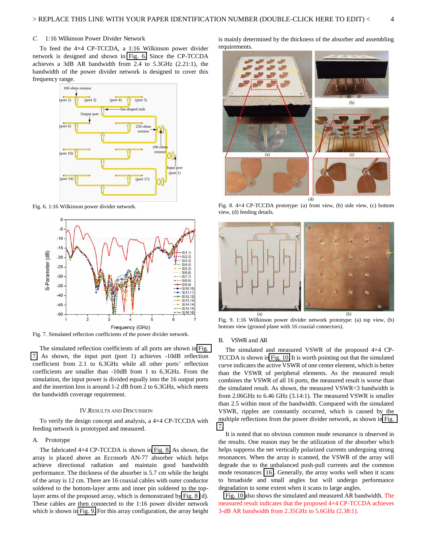#### *C.* 1:16 Wilkinson Power Divider Network

To feed the 4×4 CP-TCCDA, a 1:16 Wilkinson power divider network is designed and shown in [Fig. 6.](#page-3-0) Since the CP-TCCDA achieves a 3dB AR bandwidth from 2.4 to 5.3GHz (2.21:1), the bandwidth of the power divider network is designed to cover this frequency range.



<span id="page-4-9"></span>Fig. 6. 1:16 Wilkinson power divider network.



Fig. 7. Simulated reflection coefficients of the power divider network.

The simulated reflection coefficients of all ports are shown in [Fig.](#page-3-1)  [7.](#page-3-1) As shown, the input port (port 1) achieves -10dB reflection coefficient from 2.1 to 6.3GHz while all other ports' reflection coefficients are smaller than -10dB from 1 to 6.3GHz. From the simulation, the input power is divided equally into the 16 output ports and the insertion loss is around 1-2 dB from 2 to 6.3GHz, which meets the bandwidth coverage requirement.

#### IV.RESULTS AND DISCUSSION

To verify the design concept and analysis, a 4×4 CP-TCCDA with feeding network is prototyped and measured.

#### <span id="page-4-10"></span>A. Prototype

The fabricated 4×4 CP-TCCDA is shown in [Fig. 8.](#page-3-2) As shown, the array is placed above an Eccosorb AN-77 absorber which helps achieve directional radiation and maintain good bandwidth performance. The thickness of the absorber is 5.7 cm while the height of the array is 12 cm. There are 16 coaxial cables with outer conductor soldered to the bottom-layer arms and inner pin soldered to the toplayer arms of the proposed array, which is demonstrated b[y Fig. 8](#page-3-2) (d). These cables are then connected to the 1:16 power divider network which is shown in [Fig. 9.](#page-3-3) For this array configuration, the array height is mainly determined by the thickness of the absorber and assembling requirements.



Fig. 8. 4×4 CP-TCCDA prototype: (a) front view, (b) side view, (c) bottom view, (d) feeding details.

<span id="page-4-11"></span>

Fig. 9. 1:16 Wilkinson power divider network prototype: (a) top view, (b) bottom view (ground plane with 16 coaxial connectors).

#### B. VSWR and AR

<span id="page-4-3"></span><span id="page-4-2"></span><span id="page-4-1"></span><span id="page-4-0"></span>The simulated and measured VSWR of the proposed 4×4 CP-TCCDA is shown i[n Fig. 10.](#page-4-9) It is worth pointing out that the simulated curve indicates the active VSWR of one center element, which is better than the VSWR of peripheral elements. As the measured result combines the VSWR of all 16 ports, the measured result is worse than the simulated result. As shown, the measured VSWR<3 bandwidth is from 2.06GHz to 6.46 GHz (3.14:1). The measured VSWR is smaller than 2.5 within most of the bandwidth. Compared with the simulated VSWR, ripples are constantly occurred, which is caused by the multiple reflections from the power divider network, as shown in [Fig.](#page-3-1)  [7.](#page-3-1)

<span id="page-4-6"></span><span id="page-4-5"></span><span id="page-4-4"></span>It is noted that no obvious common mode resonance is observed in the results. One reason may be the utilization of the absorber which helps suppress the net vertically polarized currents undergoing strong resonances. When the array is scanned, the VSWR of the array will degrade due to the unbalanced push-pull currents and the common mode resonances [\[16\]](#page-5-6). Generally, the array works well when it scans to broadside and small angles but will undergo performance degradation to some extent when it scans to large angles.

<span id="page-4-8"></span><span id="page-4-7"></span>[Fig. 10](#page-4-9) also shows the simulated and measured AR bandwidth. The measured result indicates that the proposed 4×4 CP-TCCDA achieves 3-dB AR bandwidth from 2.35GHz to 5.6GHz (2.38:1).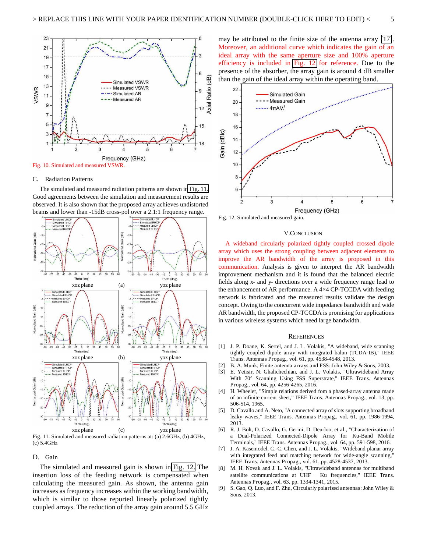<span id="page-5-2"></span><span id="page-5-1"></span><span id="page-5-0"></span>

<span id="page-5-6"></span><span id="page-5-5"></span><span id="page-5-4"></span><span id="page-5-3"></span>

#### <span id="page-5-7"></span>C. Radiation Patterns

The simulated and measured radiation patterns are shown i[n Fig. 11.](#page-4-10)  Good agreements between the simulation and measurement results are observed. It is also shown that the proposed array achieves undistorted beams and lower than -15dB cross-pol over a 2.1:1 frequency range.



Fig. 11. Simulated and measured radiation patterns at: (a) 2.6GHz, (b) 4GHz, (c) 5.4GHz

#### D. Gain

The simulated and measured gain is shown in [Fig. 12.](#page-4-11) The insertion loss of the feeding network is compensated when calculating the measured gain. As shown, the antenna gain increases as frequency increases within the working bandwidth, which is similar to those reported linearly polarized tightly coupled arrays. The reduction of the array gain around 5.5 GHz may be attributed to the finite size of the antenna array [\[17\]](#page-5-7). Moreover, an additional curve which indicates the gain of an ideal array with the same aperture size and 100% aperture efficiency is included in [Fig. 12](#page-4-11) for reference. Due to the presence of the absorber, the array gain is around 4 dB smaller than the gain of the ideal array within the operating band.



Fig. 12. Simulated and measured gain.

#### V.CONCLUSION

A wideband circularly polarized tightly coupled crossed dipole array which uses the strong coupling between adjacent elements to improve the AR bandwidth of the array is proposed in this communication. Analysis is given to interpret the AR bandwidth improvement mechanism and it is found that the balanced electric fields along x- and y- directions over a wide frequency range lead to the enhancement of AR performance. A 4×4 CP-TCCDA with feeding network is fabricated and the measured results validate the design concept. Owing to the concurrent wide impedance bandwidth and wide AR bandwidth, the proposed CP-TCCDA is promising for applications in various wireless systems which need large bandwidth.

#### **REFERENCES**

- [1] J. P. Doane, K. Sertel, and J. L. Volakis, "A wideband, wide scanning tightly coupled dipole array with integrated balun (TCDA-IB)," IEEE Trans. Antennas Propag., vol. 61, pp. 4538-4548, 2013.
- [2] B. A. Munk, Finite antenna arrays and FSS: John Wiley & Sons, 2003.
- [3] E. Yetisir, N. Ghalichechian, and J. L. Volakis, "Ultrawideband Array With 70° Scanning Using FSS Superstrate," IEEE Trans. Antennas Propag., vol. 64, pp. 4256-4265, 2016.
- [4] H. Wheeler, "Simple relations derived fom a phased-array antenna made of an infinite current sheet," IEEE Trans. Antennas Propag., vol. 13, pp. 506-514, 1965.
- [5] D. Cavallo and A. Neto, "A connected array of slots supporting broadband leaky waves," IEEE Trans. Antennas Propag., vol. 61, pp. 1986-1994, 2013.
- [6] R. J. Bolt, D. Cavallo, G. Gerini, D. Deurloo, et al., "Characterization of a Dual-Polarized Connected-Dipole Array for Ku-Band Mobile Terminals," IEEE Trans. Antennas Propag., vol. 64, pp. 591-598, 2016.
- [7] J. A. Kasemodel, C.-C. Chen, and J. L. Volakis, "Wideband planar array with integrated feed and matching network for wide-angle scanning,' IEEE Trans. Antennas Propag., vol. 61, pp. 4528-4537, 2013.
- [8] M. H. Novak and J. L. Volakis, "Ultrawideband antennas for multiband satellite communications at UHF  $-$  Ku frequencies," IEEE Trans. Antennas Propag., vol. 63, pp. 1334-1341, 2015.
- [9] S. Gao, Q. Luo, and F. Zhu, Circularly polarized antennas: John Wiley & Sons, 2013.